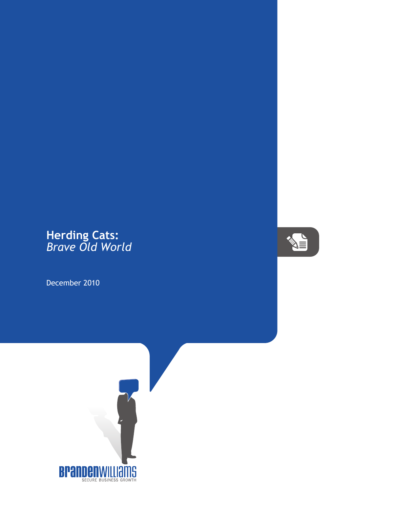## **Herding Cats:** *Brave Old World*

December 2010



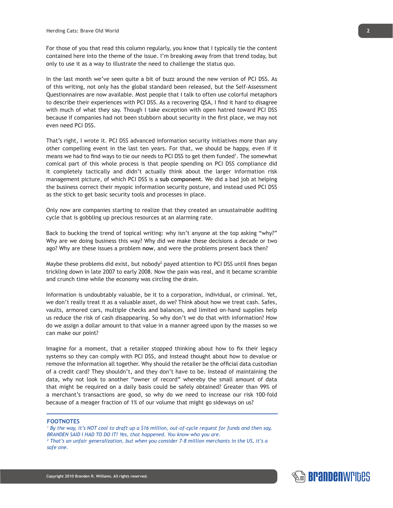For those of you that read this column regularly, you know that I typically tie the content contained here into the theme of the issue. I'm breaking away from that trend today, but only to use it as a way to illustrate the need to challenge the status quo.

In the last month we've seen quite a bit of buzz around the new version of PCI DSS. As of this writing, not only has the global standard been released, but the Self-Assessment Questionnaires are now available. Most people that I talk to often use colorful metaphors to describe their experiences with PCI DSS. As a recovering QSA, I find it hard to disagree with much of what they say. Though I take exception with open hatred toward PCI DSS because if companies had not been stubborn about security in the first place, we may not even need PCI DSS.

That's right, I wrote it. PCI DSS advanced information security initiatives more than any other compelling event in the last ten years. For that, we should be happy, even if it means we had to find ways to tie our needs to PCI DSS to get them funded<sup>1</sup>. The somewhat comical part of this whole process is that people spending on PCI DSS compliance did it completely tactically and didn't actually think about the larger information risk management picture, of which PCI DSS is a **sub component**. We did a bad job at helping the business correct their myopic information security posture, and instead used PCI DSS as the stick to get basic security tools and processes in place.

Only now are companies starting to realize that they created an unsustainable auditing cycle that is gobbling up precious resources at an alarming rate.

Back to bucking the trend of topical writing: why isn't anyone at the top asking "why?" Why are we doing business this way? Why did we make these decisions a decade or two ago? Why are these issues a problem **now**, and were the problems present back then?

Maybe these problems did exist, but nobody<sup>2</sup> payed attention to PCI DSS until fines began trickling down in late 2007 to early 2008. Now the pain was real, and it became scramble and crunch time while the economy was circling the drain.

Information is undoubtably valuable, be it to a corporation, individual, or criminal. Yet, we don't really treat it as a valuable asset, do we? Think about how we treat cash. Safes, vaults, armored cars, multiple checks and balances, and limited on-hand supplies help us reduce the risk of cash disappearing. So why don't we do that with information? How do we assign a dollar amount to that value in a manner agreed upon by the masses so we can make our point?

Imagine for a moment, that a retailer stopped thinking about how to fix their legacy systems so they can comply with PCI DSS, and instead thought about how to devalue or remove the information all together. Why should the retailer be the official data custodian of a credit card? They shouldn't, and they don't have to be. Instead of maintaining the data, why not look to another "owner of record" whereby the small amount of data that might be required on a daily basis could be safely obtained? Greater than 99% of a merchant's transactions are good, so why do we need to increase our risk 100-fold because of a meager fraction of 1% of our volume that might go sideways on us?

## **FOOTNOTES**

*1 By the way, it's NOT cool to draft up a \$16 million, out-of-cycle request for funds and then say, BRANDEN SAID I HAD TO DO IT! Yes, that happened. You know who you are. 2 That's an unfair generalization, but when you consider 7-8 million merchants in the US, it's a safe one.*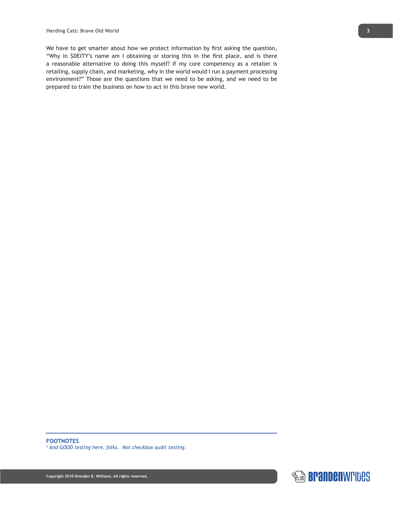We have to get smarter about how we protect information by first asking the question, "Why in \$DEITY's name am I obtaining or storing this in the first place, and is there a reasonable alternative to doing this myself? If my core competency as a retailer is retailing, supply chain, and marketing, why in the world would I run a payment processing environment?" Those are the questions that we need to be asking, and we need to be prepared to train the business on how to act in this brave new world.

*3 And GOOD testing here, folks. Not checkbox audit testing.*